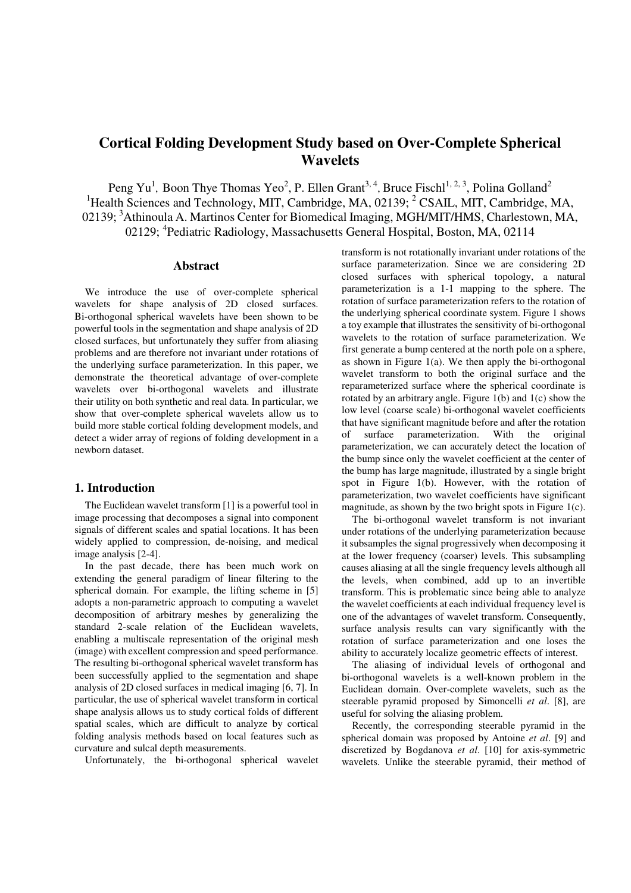# **Cortical Folding Development Study based on Over-Complete Spherical Wavelets**

Peng Yu<sup>1</sup>, Boon Thye Thomas Yeo<sup>2</sup>, P. Ellen Grant<sup>3, 4</sup>, Bruce Fischl<sup>1, 2, 3</sup>, Polina Golland<sup>2</sup> <sup>1</sup>Health Sciences and Technology, MIT, Cambridge, MA, 02139; <sup>2</sup> CSAIL, MIT, Cambridge, MA, 02139; <sup>3</sup>Athinoula A. Martinos Center for Biomedical Imaging, MGH/MIT/HMS, Charlestown, MA, 02129; <sup>4</sup>Pediatric Radiology, Massachusetts General Hospital, Boston, MA, 02114

# **Abstract**

We introduce the use of over-complete spherical wavelets for shape analysis of 2D closed surfaces. Bi-orthogonal spherical wavelets have been shown to be powerful tools in the segmentation and shape analysis of 2D closed surfaces, but unfortunately they suffer from aliasing problems and are therefore not invariant under rotations of the underlying surface parameterization. In this paper, we demonstrate the theoretical advantage of over-complete wavelets over bi-orthogonal wavelets and illustrate their utility on both synthetic and real data. In particular, we show that over-complete spherical wavelets allow us to build more stable cortical folding development models, and detect a wider array of regions of folding development in a newborn dataset.

## **1. Introduction**

The Euclidean wavelet transform [1] is a powerful tool in image processing that decomposes a signal into component signals of different scales and spatial locations. It has been widely applied to compression, de-noising, and medical image analysis [2-4].

In the past decade, there has been much work on extending the general paradigm of linear filtering to the spherical domain. For example, the lifting scheme in [5] adopts a non-parametric approach to computing a wavelet decomposition of arbitrary meshes by generalizing the standard 2-scale relation of the Euclidean wavelets, enabling a multiscale representation of the original mesh (image) with excellent compression and speed performance. The resulting bi-orthogonal spherical wavelet transform has been successfully applied to the segmentation and shape analysis of 2D closed surfaces in medical imaging [6, 7]. In particular, the use of spherical wavelet transform in cortical shape analysis allows us to study cortical folds of different spatial scales, which are difficult to analyze by cortical folding analysis methods based on local features such as curvature and sulcal depth measurements.

Unfortunately, the bi-orthogonal spherical wavelet

transform is not rotationally invariant under rotations of the surface parameterization. Since we are considering 2D closed surfaces with spherical topology, a natural parameterization is a 1-1 mapping to the sphere. The rotation of surface parameterization refers to the rotation of the underlying spherical coordinate system. Figure 1 shows a toy example that illustrates the sensitivity of bi-orthogonal wavelets to the rotation of surface parameterization. We first generate a bump centered at the north pole on a sphere, as shown in Figure  $1(a)$ . We then apply the bi-orthogonal wavelet transform to both the original surface and the reparameterized surface where the spherical coordinate is rotated by an arbitrary angle. Figure 1(b) and 1(c) show the low level (coarse scale) bi-orthogonal wavelet coefficients that have significant magnitude before and after the rotation of surface parameterization. With the original parameterization, we can accurately detect the location of the bump since only the wavelet coefficient at the center of the bump has large magnitude, illustrated by a single bright spot in Figure 1(b). However, with the rotation of parameterization, two wavelet coefficients have significant magnitude, as shown by the two bright spots in Figure 1(c).

The bi-orthogonal wavelet transform is not invariant under rotations of the underlying parameterization because it subsamples the signal progressively when decomposing it at the lower frequency (coarser) levels. This subsampling causes aliasing at all the single frequency levels although all the levels, when combined, add up to an invertible transform. This is problematic since being able to analyze the wavelet coefficients at each individual frequency level is one of the advantages of wavelet transform. Consequently, surface analysis results can vary significantly with the rotation of surface parameterization and one loses the ability to accurately localize geometric effects of interest.

The aliasing of individual levels of orthogonal and bi-orthogonal wavelets is a well-known problem in the Euclidean domain. Over-complete wavelets, such as the steerable pyramid proposed by Simoncelli *et al*. [8], are useful for solving the aliasing problem.

Recently, the corresponding steerable pyramid in the spherical domain was proposed by Antoine *et al*. [9] and discretized by Bogdanova *et al*. [10] for axis-symmetric wavelets. Unlike the steerable pyramid, their method of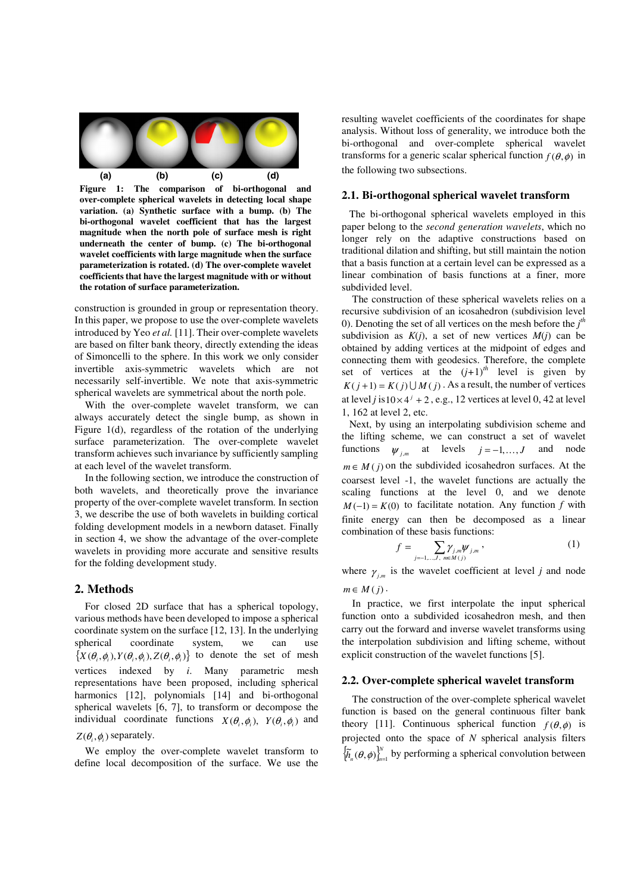

**Figure 1: The comparison of bi-orthogonal and over-complete spherical wavelets in detecting local shape variation. (a) Synthetic surface with a bump. (b) The bi-orthogonal wavelet coefficient that has the largest magnitude when the north pole of surface mesh is right underneath the center of bump. (c) The bi-orthogonal wavelet coefficients with large magnitude when the surface parameterization is rotated. (d) The over-complete wavelet coefficients that have the largest magnitude with or without the rotation of surface parameterization.** 

construction is grounded in group or representation theory. In this paper, we propose to use the over-complete wavelets introduced by Yeo *et al.* [11]. Their over-complete wavelets are based on filter bank theory, directly extending the ideas of Simoncelli to the sphere. In this work we only consider invertible axis-symmetric wavelets which are not necessarily self-invertible. We note that axis-symmetric spherical wavelets are symmetrical about the north pole.

With the over-complete wavelet transform, we can always accurately detect the single bump, as shown in Figure 1(d), regardless of the rotation of the underlying surface parameterization. The over-complete wavelet transform achieves such invariance by sufficiently sampling at each level of the wavelet transform.

In the following section, we introduce the construction of both wavelets, and theoretically prove the invariance property of the over-complete wavelet transform. In section 3, we describe the use of both wavelets in building cortical folding development models in a newborn dataset. Finally in section 4, we show the advantage of the over-complete wavelets in providing more accurate and sensitive results for the folding development study.

# **2. Methods**

For closed 2D surface that has a spherical topology, various methods have been developed to impose a spherical coordinate system on the surface [12, 13]. In the underlying spherical coordinate system, we can use  ${X (\theta_i, \phi_i), Y(\theta_i, \phi_i), Z(\theta_i, \phi_i)}$  to denote the set of mesh vertices indexed by *i*. Many parametric mesh representations have been proposed, including spherical harmonics [12], polynomials [14] and bi-orthogonal spherical wavelets [6, 7], to transform or decompose the individual coordinate functions  $X(\theta_i, \phi_i)$ ,  $Y(\theta_i, \phi_i)$  and  $Z(\theta_i, \phi_i)$  separately.

# We employ the over-complete wavelet transform to define local decomposition of the surface. We use the

resulting wavelet coefficients of the coordinates for shape analysis. Without loss of generality, we introduce both the bi-orthogonal and over-complete spherical wavelet transforms for a generic scalar spherical function  $f(\theta, \phi)$  in the following two subsections.

#### **2.1. Bi-orthogonal spherical wavelet transform**

The bi-orthogonal spherical wavelets employed in this paper belong to the *second generation wavelets*, which no longer rely on the adaptive constructions based on traditional dilation and shifting, but still maintain the notion that a basis function at a certain level can be expressed as a linear combination of basis functions at a finer, more subdivided level.

The construction of these spherical wavelets relies on a recursive subdivision of an icosahedron (subdivision level 0). Denoting the set of all vertices on the mesh before the  $j<sup>th</sup>$ subdivision as  $K(i)$ , a set of new vertices  $M(i)$  can be obtained by adding vertices at the midpoint of edges and connecting them with geodesics. Therefore, the complete set of vertices at the  $(j+1)^{th}$  level is given by  $K(j+1) = K(j) \cup M(j)$ . As a result, the number of vertices at level  $j$  is  $10 \times 4^{j} + 2$ , e.g., 12 vertices at level 0, 42 at level 1, 162 at level 2, etc.

Next, by using an interpolating subdivision scheme and the lifting scheme, we can construct a set of wavelet functions  $\psi_{j,m}$  at levels  $j = -1, ..., J$  and node  $m \in M(i)$  on the subdivided icosahedron surfaces. At the coarsest level -1, the wavelet functions are actually the scaling functions at the level 0, and we denote  $M(-1) = K(0)$  to facilitate notation. Any function *f* with finite energy can then be decomposed as a linear combination of these basis functions:

$$
f = \sum_{j=1,...,J, m \in M(j)} \gamma_{j,m} \gamma_{j,m}, \qquad (1)
$$

where  $\gamma_{i,m}$  is the wavelet coefficient at level *j* and node  $m \in M(i)$ .

In practice, we first interpolate the input spherical function onto a subdivided icosahedron mesh, and then carry out the forward and inverse wavelet transforms using the interpolation subdivision and lifting scheme, without explicit construction of the wavelet functions [5].

#### **2.2. Over-complete spherical wavelet transform**

The construction of the over-complete spherical wavelet function is based on the general continuous filter bank theory [11]. Continuous spherical function  $f(\theta, \phi)$  is projected onto the space of *N* spherical analysis filters  ${\left\{\widetilde{h}_{n}(\theta, \phi)\right\}_{n=1}^{N}}$  by performing a spherical convolution between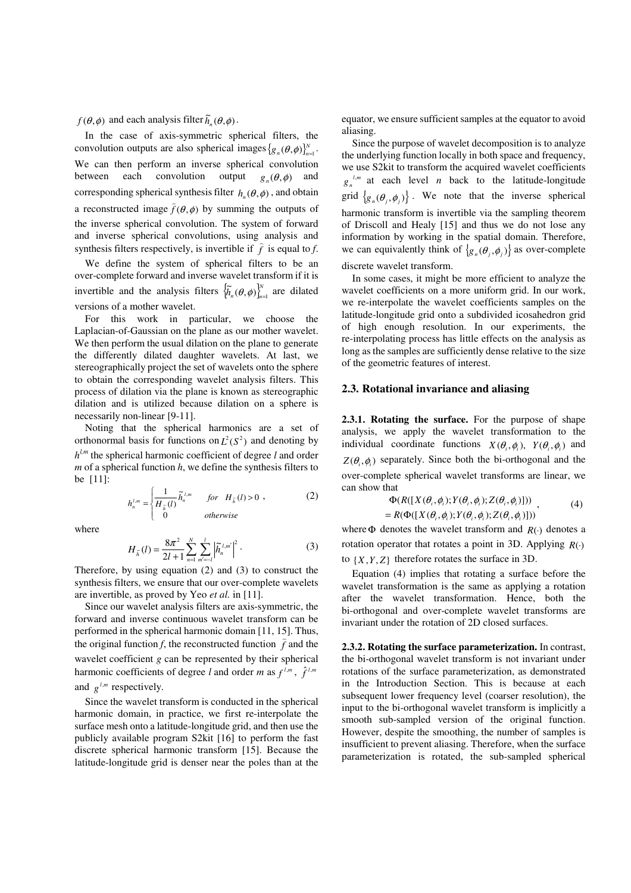$f(\theta, \phi)$  and each analysis filter  $\widetilde{h}_n(\theta, \phi)$ .

In the case of axis-symmetric spherical filters, the convolution outputs are also spherical images  $\{g_n(\theta, \phi)\}_{n=1}^N$ . We can then perform an inverse spherical convolution between each convolution output  $g_n(\theta, \phi)$  and corresponding spherical synthesis filter  $h_n(\theta, \phi)$ , and obtain a reconstructed image  $\hat{f}(\theta, \phi)$  by summing the outputs of the inverse spherical convolution. The system of forward and inverse spherical convolutions, using analysis and synthesis filters respectively, is invertible if  $\hat{f}$  is equal to *f*.

We define the system of spherical filters to be an over-complete forward and inverse wavelet transform if it is invertible and the analysis filters  $\left\{ \widetilde{h}_n(\theta,\phi) \right\}_{n=1}^N$  are dilated versions of a mother wavelet.

For this work in particular, we choose the Laplacian-of-Gaussian on the plane as our mother wavelet. We then perform the usual dilation on the plane to generate the differently dilated daughter wavelets. At last, we stereographically project the set of wavelets onto the sphere to obtain the corresponding wavelet analysis filters. This process of dilation via the plane is known as stereographic dilation and is utilized because dilation on a sphere is necessarily non-linear [9-11].

Noting that the spherical harmonics are a set of orthonormal basis for functions on  $L^2(S^2)$  and denoting by  $h^{l,m}$  the spherical harmonic coefficient of degree *l* and order *m* of a spherical function *h*, we define the synthesis filters to be [11]:

$$
h_n^{l,m} = \begin{cases} \frac{1}{H_{\tilde{h}}(l)} \tilde{h}_n^{l,m} & \text{for } H_{\tilde{h}}(l) > 0, \\ 0 & \text{otherwise} \end{cases}
$$
 (2)

where

$$
H_{\tilde{h}}(l) = \frac{8\pi^2}{2l+1} \sum_{n=1}^{N} \sum_{m=-l}^{l} \left| \tilde{h}_n^{l,m'} \right|^2.
$$
 (3)

Therefore, by using equation (2) and (3) to construct the synthesis filters, we ensure that our over-complete wavelets are invertible, as proved by Yeo *et al.* in [11].

Since our wavelet analysis filters are axis-symmetric, the forward and inverse continuous wavelet transform can be performed in the spherical harmonic domain [11, 15]. Thus, the original function *f*, the reconstructed function  $\hat{f}$  and the wavelet coefficient *g* can be represented by their spherical harmonic coefficients of degree *l* and order *m* as  $f^{l,m}$ ,  $\hat{f}^{l,m}$ and  $g^{l,m}$  respectively.

Since the wavelet transform is conducted in the spherical harmonic domain, in practice, we first re-interpolate the surface mesh onto a latitude-longitude grid, and then use the publicly available program S2kit [16] to perform the fast discrete spherical harmonic transform [15]. Because the latitude-longitude grid is denser near the poles than at the

equator, we ensure sufficient samples at the equator to avoid aliasing.

Since the purpose of wavelet decomposition is to analyze the underlying function locally in both space and frequency, we use S2kit to transform the acquired wavelet coefficients  $g_n^{l,m}$  at each level *n* back to the latitude-longitude grid  $\{g_n(\theta_i, \phi_i)\}\right\}$ . We note that the inverse spherical harmonic transform is invertible via the sampling theorem of Driscoll and Healy [15] and thus we do not lose any information by working in the spatial domain. Therefore, we can equivalently think of  $\{g_n(\theta_i, \phi_j)\}$  as over-complete discrete wavelet transform.

In some cases, it might be more efficient to analyze the wavelet coefficients on a more uniform grid. In our work, we re-interpolate the wavelet coefficients samples on the latitude-longitude grid onto a subdivided icosahedron grid of high enough resolution. In our experiments, the re-interpolating process has little effects on the analysis as long as the samples are sufficiently dense relative to the size of the geometric features of interest.

#### **2.3. Rotational invariance and aliasing**

**2.3.1. Rotating the surface.** For the purpose of shape analysis, we apply the wavelet transformation to the individual coordinate functions  $X(\theta_i, \phi_i)$ ,  $Y(\theta_i, \phi_i)$  and  $Z(\theta, \phi)$  separately. Since both the bi-orthogonal and the over-complete spherical wavelet transforms are linear, we can show that

$$
\Phi(R([X(\theta_i, \phi_i); Y(\theta_i, \phi_i); Z(\theta_i, \phi_i)]))
$$
\n=  $R(\Phi([X(\theta_i, \phi_i); Y(\theta_i, \phi_i); Z(\theta_i, \phi_i)]))$ \n\n(4)

where Φ denotes the wavelet transform and *R*(⋅) denotes a rotation operator that rotates a point in 3D. Applying *R*(⋅) to  ${X, Y, Z}$  therefore rotates the surface in 3D.

Equation (4) implies that rotating a surface before the wavelet transformation is the same as applying a rotation after the wavelet transformation. Hence, both the bi-orthogonal and over-complete wavelet transforms are invariant under the rotation of 2D closed surfaces.

**2.3.2. Rotating the surface parameterization.** In contrast, the bi-orthogonal wavelet transform is not invariant under rotations of the surface parameterization, as demonstrated in the Introduction Section. This is because at each subsequent lower frequency level (coarser resolution), the input to the bi-orthogonal wavelet transform is implicitly a smooth sub-sampled version of the original function. However, despite the smoothing, the number of samples is insufficient to prevent aliasing. Therefore, when the surface parameterization is rotated, the sub-sampled spherical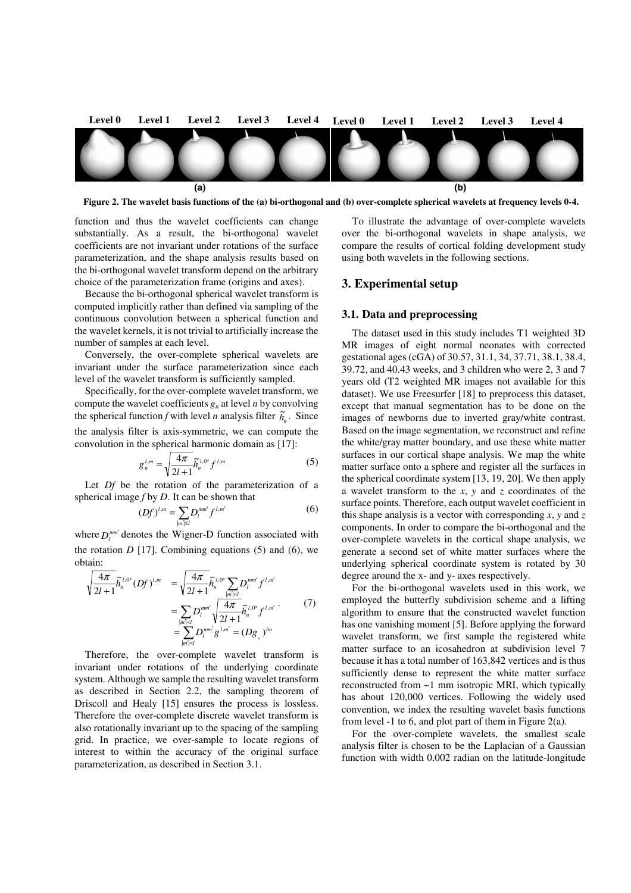

**Figure 2. The wavelet basis functions of the (a) bi-orthogonal and (b) over-complete spherical wavelets at frequency levels 0-4.**

function and thus the wavelet coefficients can change substantially. As a result, the bi-orthogonal wavelet coefficients are not invariant under rotations of the surface parameterization, and the shape analysis results based on the bi-orthogonal wavelet transform depend on the arbitrary choice of the parameterization frame (origins and axes).

Because the bi-orthogonal spherical wavelet transform is computed implicitly rather than defined via sampling of the continuous convolution between a spherical function and the wavelet kernels, it is not trivial to artificially increase the number of samples at each level.

Conversely, the over-complete spherical wavelets are invariant under the surface parameterization since each level of the wavelet transform is sufficiently sampled.

Specifically, for the over-complete wavelet transform, we compute the wavelet coefficients  $g_n$  at level *n* by convolving the spherical function *f* with level *n* analysis filter  $\tilde{h}_n$ . Since the analysis filter is axis-symmetric, we can compute the convolution in the spherical harmonic domain as [17]:

$$
g_n^{l,m} = \sqrt{\frac{4\pi}{2l+1}} \tilde{h}_n^{l,0*} f^{l,m}
$$
 (5)

Let *Df* be the rotation of the parameterization of a spherical image *f* by *D*. It can be shown that

$$
(Df)^{l,m} = \sum_{|m'| \le l} D_l^{mm'} f^{l,m'} \tag{6}
$$

where  $D_l^{mm'}$  denotes the Wigner-D function associated with the rotation  $D$  [17]. Combining equations (5) and (6), we obtain:

$$
\sqrt{\frac{4\pi}{2l+1}} \widetilde{h}_{n}^{l,0^{*}} (Df)^{l,m} = \sqrt{\frac{4\pi}{2l+1}} \widetilde{h}_{n}^{l,0^{*}} \sum_{|m| \le l} D_{l}^{mm'} f^{l,m'} \n= \sum_{|m| \le l} D_{l}^{mm'} \sqrt{\frac{4\pi}{2l+1}} \widetilde{h}_{n}^{l,0^{*}} f^{l,m'} \n= \sum_{|m| \le l} D_{l}^{mm'} g^{l,m'} = (Dg_{n})^{lm}
$$
\n(7)

Therefore, the over-complete wavelet transform is invariant under rotations of the underlying coordinate system. Although we sample the resulting wavelet transform as described in Section 2.2, the sampling theorem of Driscoll and Healy [15] ensures the process is lossless. Therefore the over-complete discrete wavelet transform is also rotationally invariant up to the spacing of the sampling grid. In practice, we over-sample to locate regions of interest to within the accuracy of the original surface parameterization, as described in Section 3.1.

To illustrate the advantage of over-complete wavelets over the bi-orthogonal wavelets in shape analysis, we compare the results of cortical folding development study using both wavelets in the following sections.

# **3. Experimental setup**

#### **3.1. Data and preprocessing**

The dataset used in this study includes T1 weighted 3D MR images of eight normal neonates with corrected gestational ages (cGA) of 30.57, 31.1, 34, 37.71, 38.1, 38.4, 39.72, and 40.43 weeks, and 3 children who were 2, 3 and 7 years old (T2 weighted MR images not available for this dataset). We use Freesurfer [18] to preprocess this dataset, except that manual segmentation has to be done on the images of newborns due to inverted gray/white contrast. Based on the image segmentation, we reconstruct and refine the white/gray matter boundary, and use these white matter surfaces in our cortical shape analysis. We map the white matter surface onto a sphere and register all the surfaces in the spherical coordinate system [13, 19, 20]. We then apply a wavelet transform to the *x*, *y* and *z* coordinates of the surface points. Therefore, each output wavelet coefficient in this shape analysis is a vector with corresponding  $x$ ,  $y$  and  $z$ components. In order to compare the bi-orthogonal and the over-complete wavelets in the cortical shape analysis, we generate a second set of white matter surfaces where the underlying spherical coordinate system is rotated by 30 degree around the x- and y- axes respectively.

For the bi-orthogonal wavelets used in this work, we employed the butterfly subdivision scheme and a lifting algorithm to ensure that the constructed wavelet function has one vanishing moment [5]. Before applying the forward wavelet transform, we first sample the registered white matter surface to an icosahedron at subdivision level 7 because it has a total number of 163,842 vertices and is thus sufficiently dense to represent the white matter surface reconstructed from ~1 mm isotropic MRI, which typically has about 120,000 vertices. Following the widely used convention, we index the resulting wavelet basis functions from level -1 to 6, and plot part of them in Figure 2(a).

For the over-complete wavelets, the smallest scale analysis filter is chosen to be the Laplacian of a Gaussian function with width 0.002 radian on the latitude-longitude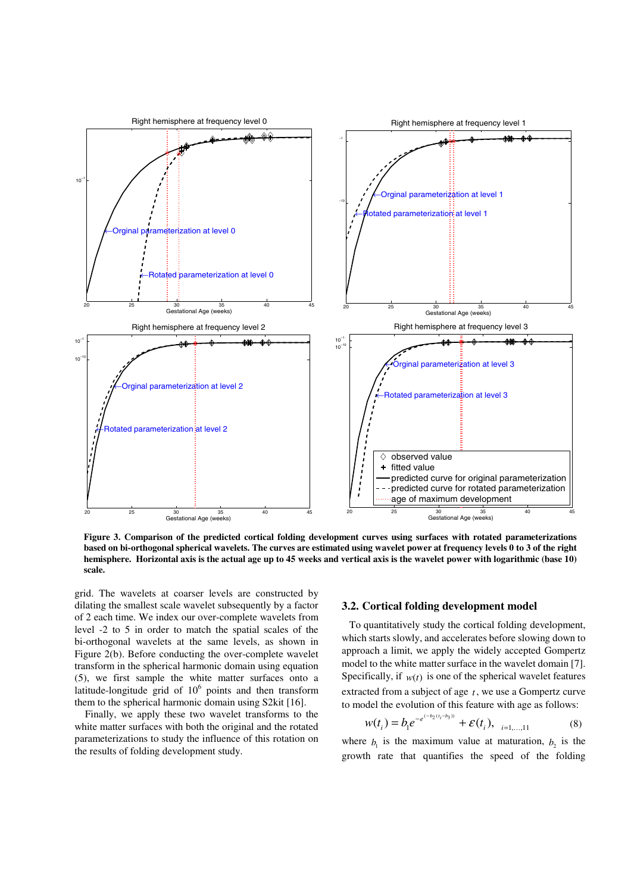

**Figure 3. Comparison of the predicted cortical folding development curves using surfaces with rotated parameterizations based on bi-orthogonal spherical wavelets. The curves are estimated using wavelet power at frequency levels 0 to 3 of the right hemisphere. Horizontal axis is the actual age up to 45 weeks and vertical axis is the wavelet power with logarithmic (base 10) scale.** 

grid. The wavelets at coarser levels are constructed by dilating the smallest scale wavelet subsequently by a factor of 2 each time. We index our over-complete wavelets from level -2 to 5 in order to match the spatial scales of the bi-orthogonal wavelets at the same levels, as shown in Figure 2(b). Before conducting the over-complete wavelet transform in the spherical harmonic domain using equation (5), we first sample the white matter surfaces onto a latitude-longitude grid of  $10^6$  points and then transform them to the spherical harmonic domain using S2kit [16].

Finally, we apply these two wavelet transforms to the white matter surfaces with both the original and the rotated parameterizations to study the influence of this rotation on the results of folding development study.

### **3.2. Cortical folding development model**

To quantitatively study the cortical folding development, which starts slowly, and accelerates before slowing down to approach a limit, we apply the widely accepted Gompertz model to the white matter surface in the wavelet domain [7]. Specifically, if  $w(t)$  is one of the spherical wavelet features extracted from a subject of age  $t$ , we use a Gompertz curve to model the evolution of this feature with age as follows:

$$
w(t_i) = b_1 e^{-e^{(-b_2(t_i - b_3))}} + \mathcal{E}(t_i), \quad i = 1,...,11}
$$
 (8)

where  $b_1$  is the maximum value at maturation,  $b_2$  is the growth rate that quantifies the speed of the folding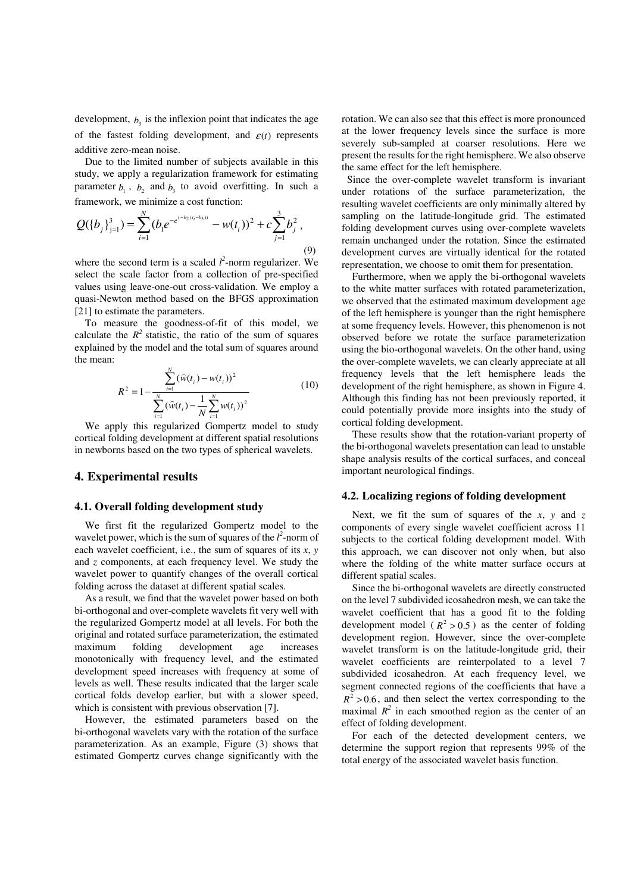development,  $b<sub>3</sub>$  is the inflexion point that indicates the age of the fastest folding development, and  $\varepsilon(t)$  represents additive zero-mean noise.

Due to the limited number of subjects available in this study, we apply a regularization framework for estimating parameter  $b_1$ ,  $b_2$  and  $b_3$  to avoid overfitting. In such a framework, we minimize a cost function:

$$
Q({b_j}_{j=1}^3) = \sum_{i=1}^N (b_i e^{-e^{(-b_2(t_i - b_3))}} - w(t_i))^2 + c \sum_{j=1}^3 b_j^2,
$$
\n(9)

where the second term is a scaled  $l^2$ -norm regularizer. We select the scale factor from a collection of pre-specified values using leave-one-out cross-validation. We employ a quasi-Newton method based on the BFGS approximation [21] to estimate the parameters.

To measure the goodness-of-fit of this model, we calculate the  $R^2$  statistic, the ratio of the sum of squares explained by the model and the total sum of squares around the mean:

$$
R^{2} = 1 - \frac{\sum_{i=1}^{N} (\widehat{w}(t_{i}) - w(t_{i}))^{2}}{\sum_{i=1}^{N} (\widehat{w}(t_{i}) - \frac{1}{N} \sum_{i=1}^{N} w(t_{i}))^{2}}
$$
(10)

We apply this regularized Gompertz model to study cortical folding development at different spatial resolutions in newborns based on the two types of spherical wavelets.

# **4. Experimental results**

### **4.1. Overall folding development study**

We first fit the regularized Gompertz model to the wavelet power, which is the sum of squares of the  $l^2$ -norm of each wavelet coefficient, i.e., the sum of squares of its *x*, *y* and *z* components, at each frequency level. We study the wavelet power to quantify changes of the overall cortical folding across the dataset at different spatial scales.

As a result, we find that the wavelet power based on both bi-orthogonal and over-complete wavelets fit very well with the regularized Gompertz model at all levels. For both the original and rotated surface parameterization, the estimated maximum folding development age increases monotonically with frequency level, and the estimated development speed increases with frequency at some of levels as well. These results indicated that the larger scale cortical folds develop earlier, but with a slower speed, which is consistent with previous observation [7].

However, the estimated parameters based on the bi-orthogonal wavelets vary with the rotation of the surface parameterization. As an example, Figure (3) shows that estimated Gompertz curves change significantly with the rotation. We can also see that this effect is more pronounced at the lower frequency levels since the surface is more severely sub-sampled at coarser resolutions. Here we present the results for the right hemisphere. We also observe the same effect for the left hemisphere.

Since the over-complete wavelet transform is invariant under rotations of the surface parameterization, the resulting wavelet coefficients are only minimally altered by sampling on the latitude-longitude grid. The estimated folding development curves using over-complete wavelets remain unchanged under the rotation. Since the estimated development curves are virtually identical for the rotated representation, we choose to omit them for presentation.

Furthermore, when we apply the bi-orthogonal wavelets to the white matter surfaces with rotated parameterization, we observed that the estimated maximum development age of the left hemisphere is younger than the right hemisphere at some frequency levels. However, this phenomenon is not observed before we rotate the surface parameterization using the bio-orthogonal wavelets. On the other hand, using the over-complete wavelets, we can clearly appreciate at all frequency levels that the left hemisphere leads the development of the right hemisphere, as shown in Figure 4. Although this finding has not been previously reported, it could potentially provide more insights into the study of cortical folding development.

 These results show that the rotation-variant property of the bi-orthogonal wavelets presentation can lead to unstable shape analysis results of the cortical surfaces, and conceal important neurological findings.

## **4.2. Localizing regions of folding development**

Next, we fit the sum of squares of the  $x$ ,  $y$  and  $z$ components of every single wavelet coefficient across 11 subjects to the cortical folding development model. With this approach, we can discover not only when, but also where the folding of the white matter surface occurs at different spatial scales.

Since the bi-orthogonal wavelets are directly constructed on the level 7 subdivided icosahedron mesh, we can take the wavelet coefficient that has a good fit to the folding development model ( $R^2 > 0.5$ ) as the center of folding development region. However, since the over-complete wavelet transform is on the latitude-longitude grid, their wavelet coefficients are reinterpolated to a level 7 subdivided icosahedron. At each frequency level, we segment connected regions of the coefficients that have a  $R^2$  > 0.6, and then select the vertex corresponding to the maximal  $R^2$  in each smoothed region as the center of an effect of folding development.

For each of the detected development centers, we determine the support region that represents 99% of the total energy of the associated wavelet basis function.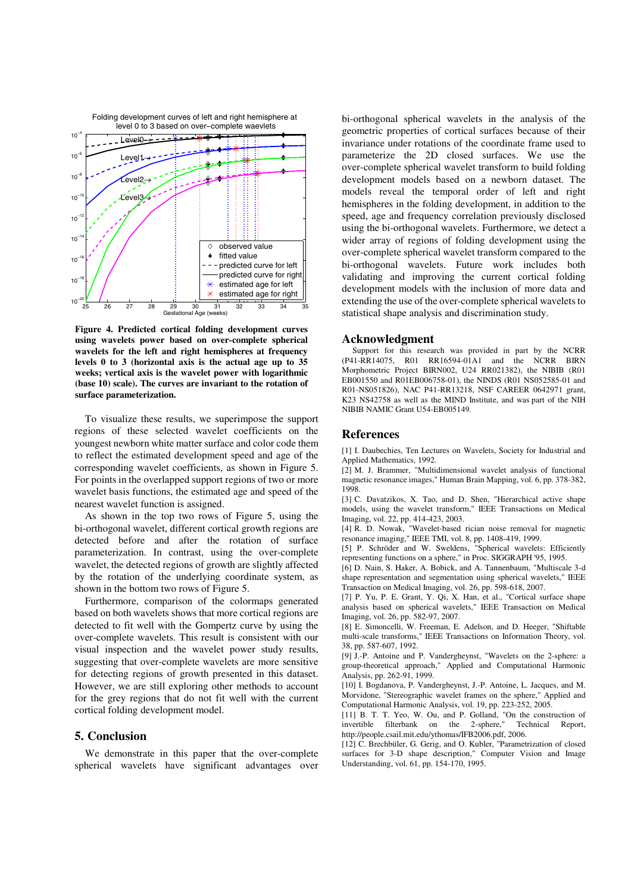

**Figure 4. Predicted cortical folding development curves using wavelets power based on over-complete spherical wavelets for the left and right hemispheres at frequency levels 0 to 3 (horizontal axis is the actual age up to 35 weeks; vertical axis is the wavelet power with logarithmic (base 10) scale). The curves are invariant to the rotation of surface parameterization.** 

To visualize these results, we superimpose the support regions of these selected wavelet coefficients on the youngest newborn white matter surface and color code them to reflect the estimated development speed and age of the corresponding wavelet coefficients, as shown in Figure 5. For points in the overlapped support regions of two or more wavelet basis functions, the estimated age and speed of the nearest wavelet function is assigned.

As shown in the top two rows of Figure 5, using the bi-orthogonal wavelet, different cortical growth regions are detected before and after the rotation of surface parameterization. In contrast, using the over-complete wavelet, the detected regions of growth are slightly affected by the rotation of the underlying coordinate system, as shown in the bottom two rows of Figure 5.

Furthermore, comparison of the colormaps generated based on both wavelets shows that more cortical regions are detected to fit well with the Gompertz curve by using the over-complete wavelets. This result is consistent with our visual inspection and the wavelet power study results, suggesting that over-complete wavelets are more sensitive for detecting regions of growth presented in this dataset. However, we are still exploring other methods to account for the grey regions that do not fit well with the current cortical folding development model.

# **5. Conclusion**

We demonstrate in this paper that the over-complete spherical wavelets have significant advantages over bi-orthogonal spherical wavelets in the analysis of the geometric properties of cortical surfaces because of their invariance under rotations of the coordinate frame used to parameterize the 2D closed surfaces. We use the over-complete spherical wavelet transform to build folding development models based on a newborn dataset. The models reveal the temporal order of left and right hemispheres in the folding development, in addition to the speed, age and frequency correlation previously disclosed using the bi-orthogonal wavelets. Furthermore, we detect a wider array of regions of folding development using the over-complete spherical wavelet transform compared to the bi-orthogonal wavelets. Future work includes both validating and improving the current cortical folding development models with the inclusion of more data and extending the use of the over-complete spherical wavelets to statistical shape analysis and discrimination study.

#### **Acknowledgment**

Support for this research was provided in part by the NCRR (P41-RR14075, R01 RR16594-01A1 and the NCRR BIRN Morphometric Project BIRN002, U24 RR021382), the NIBIB (R01 EB001550 and R01EB006758-01), the NINDS (R01 NS052585-01 and R01-NS051826), NAC P41-RR13218, NSF CAREER 0642971 grant, K23 NS42758 as well as the MIND Institute, and was part of the NIH NIBIB NAMIC Grant U54-EB005149.

# **References**

[1] I. Daubechies, Ten Lectures on Wavelets, Society for Industrial and Applied Mathematics, 1992.

[2] M. J. Brammer, "Multidimensional wavelet analysis of functional magnetic resonance images," Human Brain Mapping, vol. 6, pp. 378-382, 1998.

[3] C. Davatzikos, X. Tao, and D. Shen, "Hierarchical active shape models, using the wavelet transform," IEEE Transactions on Medical Imaging, vol. 22, pp. 414-423, 2003.

[4] R. D. Nowak, "Wavelet-based rician noise removal for magnetic resonance imaging," IEEE TMI, vol. 8, pp. 1408-419, 1999.

[5] P. Schröder and W. Sweldens, "Spherical wavelets: Efficiently representing functions on a sphere," in Proc. SIGGRAPH '95, 1995.

[6] D. Nain, S. Haker, A. Bobick, and A. Tannenbaum, "Multiscale 3-d shape representation and segmentation using spherical wavelets," IEEE Transaction on Medical Imaging, vol. 26, pp. 598-618, 2007.

[7] P. Yu, P. E. Grant, Y. Qi, X. Han, et al., "Cortical surface shape analysis based on spherical wavelets," IEEE Transaction on Medical Imaging, vol. 26, pp. 582-97, 2007.

[8] E. Simoncelli, W. Freeman, E. Adelson, and D. Heeger, "Shiftable multi-scale transforms," IEEE Transactions on Information Theory, vol. 38, pp. 587-607, 1992.

[9] J.-P. Antoine and P. Vandergheynst, "Wavelets on the 2-sphere: a group-theoretical approach," Applied and Computational Harmonic Analysis, pp. 262-91, 1999.

[10] I. Bogdanova, P. Vandergheynst, J.-P. Antoine, L. Jacques, and M. Morvidone, "Stereographic wavelet frames on the sphere," Applied and Computational Harmonic Analysis, vol. 19, pp. 223-252, 2005.

[11] B. T. T. Yeo, W. Ou, and P. Golland, "On the construction of invertible filterbank on the 2-sphere," Technical Report, http://people.csail.mit.edu/ythomas/IFB2006.pdf, 2006.

[12] C. Brechbüler, G. Gerig, and O. Kubler, "Parametrization of closed surfaces for 3-D shape description," Computer Vision and Image Understanding, vol. 61, pp. 154-170, 1995.